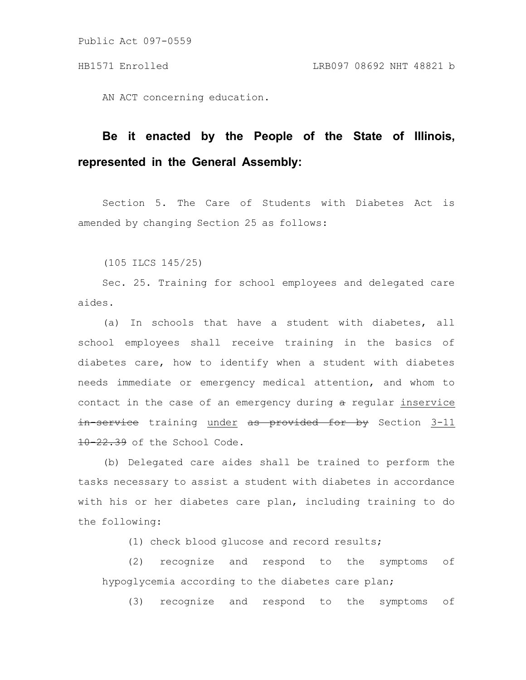Public Act 097-0559

AN ACT concerning education.

## **Be it enacted by the People of the State of Illinois, represented in the General Assembly:**

Section 5. The Care of Students with Diabetes Act is amended by changing Section 25 as follows:

(105 ILCS 145/25)

Sec. 25. Training for school employees and delegated care aides.

(a) In schools that have a student with diabetes, all school employees shall receive training in the basics of diabetes care, how to identify when a student with diabetes needs immediate or emergency medical attention, and whom to contact in the case of an emergency during  $a$  regular inservice in-service training under as provided for by Section 3-11 10-22.39 of the School Code.

(b) Delegated care aides shall be trained to perform the tasks necessary to assist a student with diabetes in accordance with his or her diabetes care plan, including training to do the following:

(1) check blood glucose and record results;

(2) recognize and respond to the symptoms of hypoglycemia according to the diabetes care plan;

(3) recognize and respond to the symptoms of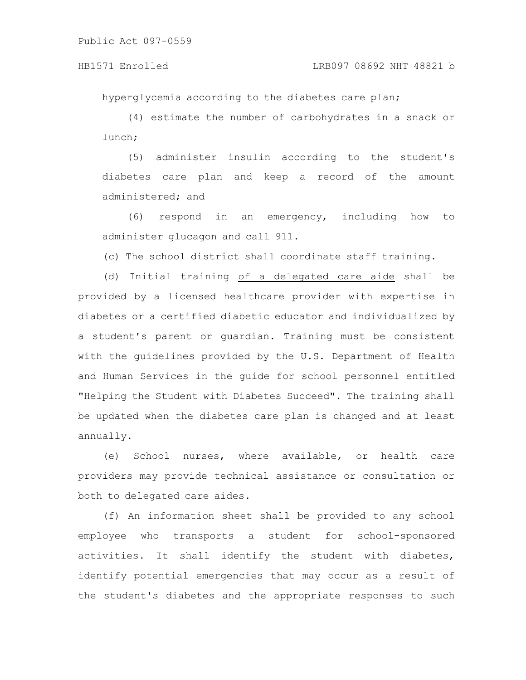## HB1571 Enrolled LRB097 08692 NHT 48821 b

hyperglycemia according to the diabetes care plan;

(4) estimate the number of carbohydrates in a snack or lunch;

(5) administer insulin according to the student's diabetes care plan and keep a record of the amount administered; and

(6) respond in an emergency, including how to administer glucagon and call 911.

(c) The school district shall coordinate staff training.

(d) Initial training of a delegated care aide shall be provided by a licensed healthcare provider with expertise in diabetes or a certified diabetic educator and individualized by a student's parent or guardian. Training must be consistent with the guidelines provided by the U.S. Department of Health and Human Services in the guide for school personnel entitled "Helping the Student with Diabetes Succeed". The training shall be updated when the diabetes care plan is changed and at least annually.

(e) School nurses, where available, or health care providers may provide technical assistance or consultation or both to delegated care aides.

(f) An information sheet shall be provided to any school employee who transports a student for school-sponsored activities. It shall identify the student with diabetes, identify potential emergencies that may occur as a result of the student's diabetes and the appropriate responses to such